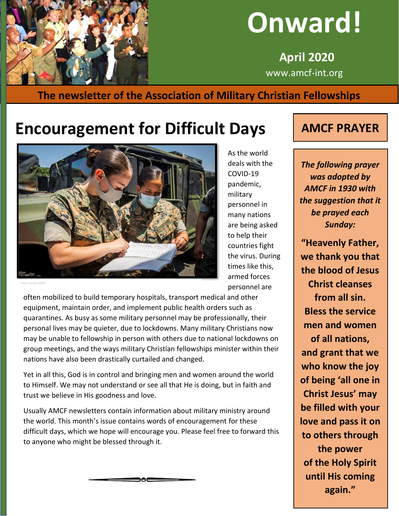

# **Onward!**

 **April 2020** www.amcf-int.org

#### **The newsletter of the Association of Military Christian Fellowships**

# **Encouragement for Difficult Days | AMCF PRAYER**



Photo courtesy USDOD

As the world deals with the COVID-19 pandemic, military personnel in many nations are being asked to help their countries fight the virus. During times like this, armed forces personnel are

often mobilized to build temporary hospitals, transport medical and other equipment, maintain order, and implement public health orders such as quarantines. As busy as some military personnel may be professionally, their personal lives may be quieter, due to lockdowns. Many military Christians now may be unable to fellowship in person with others due to national lockdowns on group meetings, and the ways military Christian fellowships minister within their nations have also been drastically curtailed and changed.

Yet in all this, God is in control and bringing men and women around the world to Himself. We may not understand or see all that He is doing, but in faith and trust we believe in His goodness and love.

Usually AMCF newsletters contain information about military ministry around the world. This month's issue contains words of encouragement for these difficult days, which we hope will encourage you. Please feel free to forward this to anyone who might be blessed through it.



*The following prayer was adopted by AMCF in 1930 with the suggestion that it be prayed each Sunday:*

**"Heavenly Father, we thank you that the blood of Jesus Christ cleanses from all sin. Bless the service men and women of all nations, and grant that we who know the joy of being 'all one in Christ Jesus' may be filled with your love and pass it on to others through the power of the Holy Spirit until His coming again."**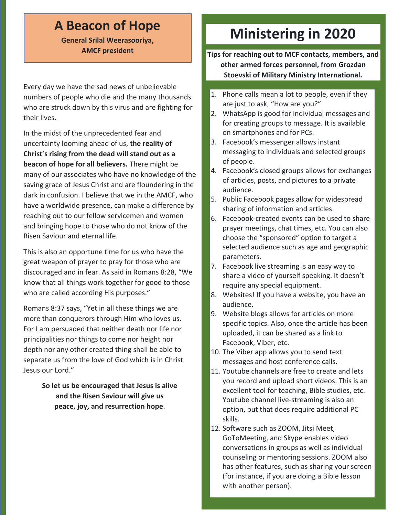#### **A Beacon of Hope**

**General Srilal Weerasooriya, AMCF president**

Every day we have the sad news of unbelievable numbers of people who die and the many thousands who are struck down by this virus and are fighting for their lives.

In the midst of the unprecedented fear and uncertainty looming ahead of us, **the reality of Christ's rising from the dead will stand out as a beacon of hope for all believers.** There might be many of our associates who have no knowledge of the saving grace of Jesus Christ and are floundering in the dark in confusion. I believe that we in the AMCF, who have a worldwide presence, can make a difference by reaching out to our fellow servicemen and women and bringing hope to those who do not know of the Risen Saviour and eternal life.

This is also an opportune time for us who have the great weapon of prayer to pray for those who are discouraged and in fear. As said in Romans 8:28, "We know that all things work together for good to those who are called according His purposes."

Romans 8:37 says, "Yet in all these things we are more than conquerors through Him who loves us. For I am persuaded that neither death nor life nor principalities nor things to come nor height nor depth nor any other created thing shall be able to separate us from the love of God which is in Christ Jesus our Lord."

> **So let us be encouraged that Jesus is alive and the Risen Saviour will give us peace, joy, and resurrection hope**.

# **Ministering in 2020**

**Tips for reaching out to MCF contacts, members, and other armed forces personnel, from Grozdan Stoevski of Military Ministry International.**

- 1. Phone calls mean a lot to people, even if they are just to ask, "How are you?"
- 2. WhatsApp is good for individual messages and for creating groups to message. It is available on smartphones and for PCs.
- 3. Facebook's messenger allows instant messaging to individuals and selected groups of people.
- 4. Facebook's closed groups allows for exchanges of articles, posts, and pictures to a private audience.
- 5. Public Facebook pages allow for widespread sharing of information and articles.
- 6. Facebook-created events can be used to share prayer meetings, chat times, etc. You can also choose the "sponsored" option to target a selected audience such as age and geographic parameters.
- 7. Facebook live streaming is an easy way to share a video of yourself speaking. It doesn't require any special equipment.
- 8. Websites! If you have a website, you have an audience.
- 9. Website blogs allows for articles on more specific topics. Also, once the article has been uploaded, it can be shared as a link to Facebook, Viber, etc.
- 10. The Viber app allows you to send text messages and host conference calls.
- 11. Youtube channels are free to create and lets you record and upload short videos. This is an excellent tool for teaching, Bible studies, etc. Youtube channel live-streaming is also an option, but that does require additional PC skills.
- 12. Software such as ZOOM, Jitsi Meet, GoToMeeting, and Skype enables video conversations in groups as well as individual counseling or mentoring sessions. ZOOM also has other features, such as sharing your screen (for instance, if you are doing a Bible lesson with another person).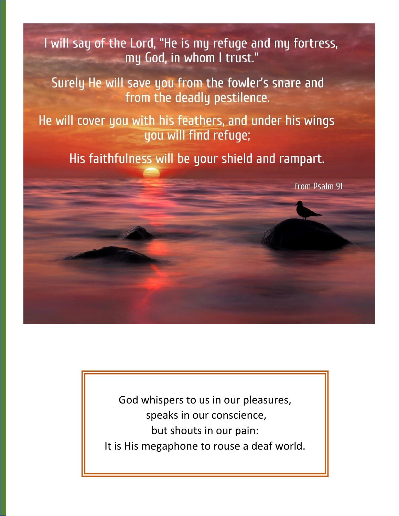I will say of the Lord, "He is my refuge and my fortress, my God, in whom I trust."

Surely He will save you from the fowler's snare and from the deadly pestilence.

He will cover you with his feathers, and under his wings you will find refuge;

His faithfulness will be your shield and rampart.

from Psalm 91

God whispers to us in our pleasures, speaks in our conscience, but shouts in our pain: It is His megaphone to rouse a deaf world.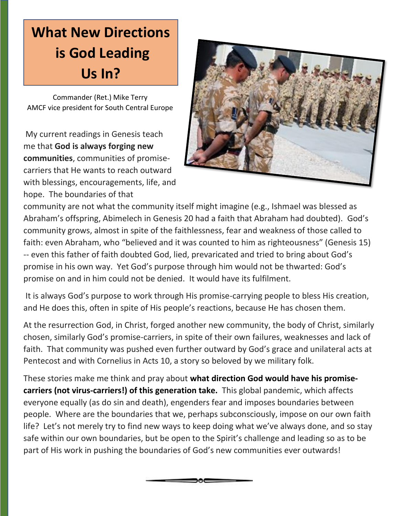### **What New Directions What New Directions** *is Comme Lead* **is God Leading Us In?**

[Commander \(Ret.\) Mike Terry](mailto:mike@terry-home.co.uk) AMCF vice president for South Central Europe

My current readings in Genesis teach me that **God is always forging new communities**, communities of promisecarriers that He wants to reach outward with blessings, encouragements, life, and hope. The boundaries of that



community are not what the community itself might imagine (e.g., Ishmael was blessed as Abraham's offspring, Abimelech in Genesis 20 had a faith that Abraham had doubted). God's community grows, almost in spite of the faithlessness, fear and weakness of those called to faith: even Abraham, who "believed and it was counted to him as righteousness" (Genesis 15) -- even this father of faith doubted God, lied, prevaricated and tried to bring about God's promise in his own way. Yet God's purpose through him would not be thwarted: God's promise on and in him could not be denied. It would have its fulfilment.

It is always God's purpose to work through His promise-carrying people to bless His creation, and He does this, often in spite of His people's reactions, because He has chosen them.

At the resurrection God, in Christ, forged another new community, the body of Christ, similarly chosen, similarly God's promise-carriers, in spite of their own failures, weaknesses and lack of faith. That community was pushed even further outward by God's grace and unilateral acts at Pentecost and with Cornelius in Acts 10, a story so beloved by we military folk.

These stories make me think and pray about **what direction God would have his promisecarriers (not virus-carriers!) of this generation take.** This global pandemic, which affects everyone equally (as do sin and death), engenders fear and imposes boundaries between people. Where are the boundaries that we, perhaps subconsciously, impose on our own faith life? Let's not merely try to find new ways to keep doing what we've always done, and so stay safe within our own boundaries, but be open to the Spirit's challenge and leading so as to be part of His work in pushing the boundaries of God's new communities ever outwards!

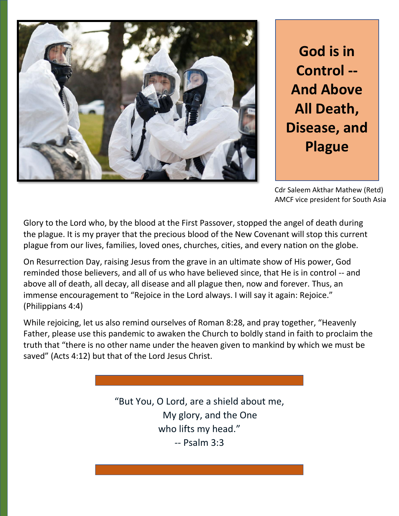

**God is in Control -- And Above All Death, Disease, and Plague**

Cdr Saleem Akthar Mathew (Retd) AMCF vice president for South Asia

Glory to the Lord who, by the blood at the First Passover, stopped the angel of death during the plague. It is my prayer that the precious blood of the New Covenant will stop this current plague from our lives, families, loved ones, churches, cities, and every nation on the globe.

On Resurrection Day, raising Jesus from the grave in an ultimate show of His power, God reminded those believers, and all of us who have believed since, that He is in control -- and above all of death, all decay, all disease and all plague then, now and forever. Thus, an immense encouragement to "Rejoice in the Lord always. I will say it again: Rejoice." (Philippians 4:4)

While rejoicing, let us also remind ourselves of Roman 8:28, and pray together, "Heavenly Father, please use this pandemic to awaken the Church to boldly stand in faith to proclaim the truth that "there is no other name under the heaven given to mankind by which we must be saved" (Acts 4:12) but that of the Lord Jesus Christ.

> "But You, O Lord, are a shield about me, My glory, and the One who lifts my head." -- Psalm 3:3